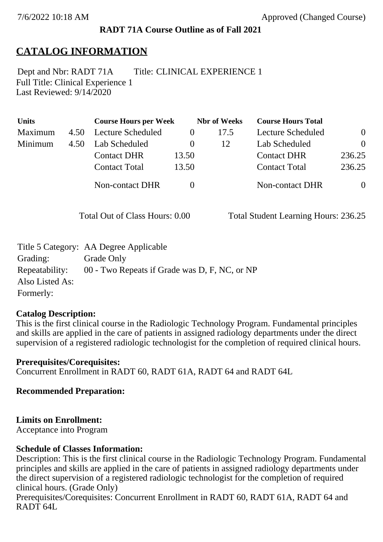### **RADT 71A Course Outline as of Fall 2021**

### **CATALOG INFORMATION**

Full Title: Clinical Experience 1 Last Reviewed: 9/14/2020 Dept and Nbr: RADT 71A Title: CLINICAL EXPERIENCE 1

| <b>Units</b> |      | <b>Course Hours per Week</b> |          | <b>Nbr</b> of Weeks | <b>Course Hours Total</b> |                |
|--------------|------|------------------------------|----------|---------------------|---------------------------|----------------|
| Maximum      | 4.50 | Lecture Scheduled            |          | 17.5                | Lecture Scheduled         | $\overline{0}$ |
| Minimum      | 4.50 | Lab Scheduled                | $\theta$ | 12                  | Lab Scheduled             | $\theta$       |
|              |      | <b>Contact DHR</b>           | 13.50    |                     | <b>Contact DHR</b>        | 236.25         |
|              |      | <b>Contact Total</b>         | 13.50    |                     | <b>Contact Total</b>      | 236.25         |
|              |      | <b>Non-contact DHR</b>       |          |                     | <b>Non-contact DHR</b>    | $\overline{0}$ |

Total Out of Class Hours: 0.00 Total Student Learning Hours: 236.25

|                 | Title 5 Category: AA Degree Applicable        |
|-----------------|-----------------------------------------------|
| Grading:        | Grade Only                                    |
| Repeatability:  | 00 - Two Repeats if Grade was D, F, NC, or NP |
| Also Listed As: |                                               |
| Formerly:       |                                               |

#### **Catalog Description:**

This is the first clinical course in the Radiologic Technology Program. Fundamental principles and skills are applied in the care of patients in assigned radiology departments under the direct supervision of a registered radiologic technologist for the completion of required clinical hours.

**Prerequisites/Corequisites:** Concurrent Enrollment in RADT 60, RADT 61A, RADT 64 and RADT 64L

**Recommended Preparation:**

### **Limits on Enrollment:**

Acceptance into Program

### **Schedule of Classes Information:**

Description: This is the first clinical course in the Radiologic Technology Program. Fundamental principles and skills are applied in the care of patients in assigned radiology departments under the direct supervision of a registered radiologic technologist for the completion of required clinical hours. (Grade Only)

Prerequisites/Corequisites: Concurrent Enrollment in RADT 60, RADT 61A, RADT 64 and RADT 64L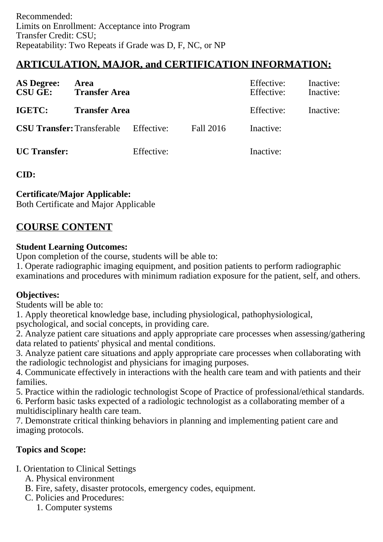# **ARTICULATION, MAJOR, and CERTIFICATION INFORMATION:**

| <b>AS Degree:</b><br><b>CSU GE:</b> | Area<br><b>Transfer Area</b> |            |           | Effective:<br>Effective: | Inactive:<br>Inactive: |
|-------------------------------------|------------------------------|------------|-----------|--------------------------|------------------------|
| IGETC:                              | <b>Transfer Area</b>         |            |           | Effective:               | Inactive:              |
| <b>CSU Transfer: Transferable</b>   |                              | Effective: | Fall 2016 | Inactive:                |                        |
| <b>UC</b> Transfer:                 |                              | Effective: |           | Inactive:                |                        |

**CID:**

### **Certificate/Major Applicable:**

[Both Certificate and Major Applicable](SR_ClassCheck.aspx?CourseKey=RADT71A)

## **COURSE CONTENT**

### **Student Learning Outcomes:**

Upon completion of the course, students will be able to:

1. Operate radiographic imaging equipment, and position patients to perform radiographic examinations and procedures with minimum radiation exposure for the patient, self, and others.

### **Objectives:**

Students will be able to:

1. Apply theoretical knowledge base, including physiological, pathophysiological,

psychological, and social concepts, in providing care.

2. Analyze patient care situations and apply appropriate care processes when assessing/gathering data related to patients' physical and mental conditions.

3. Analyze patient care situations and apply appropriate care processes when collaborating with the radiologic technologist and physicians for imaging purposes.

4. Communicate effectively in interactions with the health care team and with patients and their families.

5. Practice within the radiologic technologist Scope of Practice of professional/ethical standards.

6. Perform basic tasks expected of a radiologic technologist as a collaborating member of a multidisciplinary health care team.

7. Demonstrate critical thinking behaviors in planning and implementing patient care and imaging protocols.

### **Topics and Scope:**

I. Orientation to Clinical Settings

A. Physical environment

B. Fire, safety, disaster protocols, emergency codes, equipment.

- C. Policies and Procedures:
	- 1. Computer systems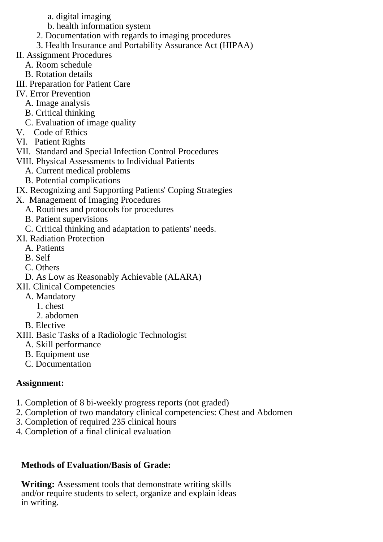- a. digital imaging
- b. health information system
- 2. Documentation with regards to imaging procedures
- 3. Health Insurance and Portability Assurance Act (HIPAA)
- II. Assignment Procedures
	- A. Room schedule
	- B. Rotation details
- III. Preparation for Patient Care
- IV. Error Prevention
	- A. Image analysis
	- B. Critical thinking
	- C. Evaluation of image quality
- V. Code of Ethics
- VI. Patient Rights
- VII. Standard and Special Infection Control Procedures
- VIII. Physical Assessments to Individual Patients
	- A. Current medical problems
	- B. Potential complications
- IX. Recognizing and Supporting Patients' Coping Strategies
- X. Management of Imaging Procedures
	- A. Routines and protocols for procedures
	- B. Patient supervisions
	- C. Critical thinking and adaptation to patients' needs.
- XI. Radiation Protection
	- A. Patients
	- B. Self
	- C. Others
	- D. As Low as Reasonably Achievable (ALARA)
- XII. Clinical Competencies
	- A. Mandatory
		- 1. chest
		- 2. abdomen
- B. Elective
- XIII. Basic Tasks of a Radiologic Technologist
	- A. Skill performance
	- B. Equipment use
	- C. Documentation

## **Assignment:**

- 1. Completion of 8 bi-weekly progress reports (not graded)
- 2. Completion of two mandatory clinical competencies: Chest and Abdomen
- 3. Completion of required 235 clinical hours
- 4. Completion of a final clinical evaluation

## **Methods of Evaluation/Basis of Grade:**

**Writing:** Assessment tools that demonstrate writing skills and/or require students to select, organize and explain ideas in writing.